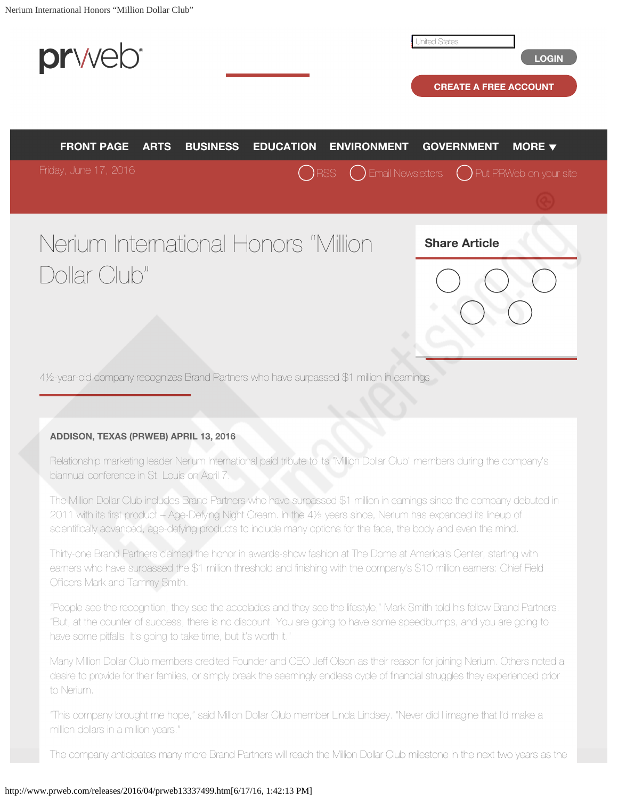<span id="page-0-0"></span>

## **ADDISON, TEXAS (PRWEB) APRIL 13, 2016**

Relationship marketing leader Nerium International paid tribute to its "Million Dollar Club" members during the company's biannual conference in St. Louis on April 7.

The Million Dollar Club includes Brand Partners who have surpassed \$1 million in earnings since the company debuted in 2011 with its first product – Age-Defying Night Cream. In the 4½ years since, Nerium has expanded its lineup of scientifically advanced, age-defying products to include many options for the face, the body and even the mind.

Thirty-one Brand Partners claimed the honor in awards-show fashion at The Dome at America's Center, starting with earners who have surpassed the \$1 million threshold and finishing with the company's \$10 million earners: Chief Field Officers Mark and Tammy Smith.

"People see the recognition, they see the accolades and they see the lifestyle," Mark Smith told his fellow Brand Partners. "But, at the counter of success, there is no discount. You are going to have some speedbumps, and you are going to have some pitfalls. It's going to take time, but it's worth it."

Many Million Dollar Club members credited Founder and CEO Jeff Olson as their reason for joining Nerium. Others noted a desire to provide for their families, or simply break the seemingly endless cycle of financial struggles they experienced prior to Nerium.

"This company brought me hope," said Million Dollar Club member Linda Lindsey. "Never did I imagine that I'd make a million dollars in a million years."

The company anticipates many more Brand Partners will reach the Million Dollar Club milestone in the next two years as the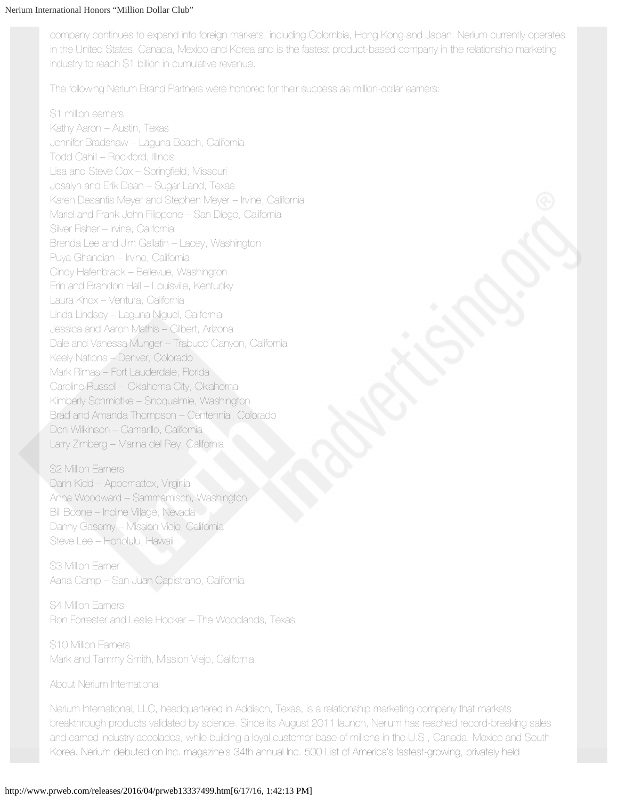company continues to expand into foreign markets, including Colombia, Hong Kong and Japan. Nerium currently operates in the United States, Canada, Mexico and Korea and is the fastest product-based company in the relationship marketing industry to reach \$1 billion in cumulative revenue.

The following Nerium Brand Partners were honored for their success as million-dollar earners:

\$1 million earners Kathy Aaron – Austin, Texas Jennifer Bradshaw – Laguna Beach, California Todd Cahill – Rockford, Illinois Lisa and Steve Cox – Springfield, Missouri Josalyn and Erik Dean – Sugar Land, Texas Karen Desantis Meyer and Stephen Meyer – Irvine, California Mariel and Frank John Filippone – San Diego, California Silver Fisher – Irvine, California Brenda Lee and Jim Gallatin – Lacey, Washington Puya Ghandian – Irvine, California Cindy Hafenbrack – Bellevue, Washington Erin and Brandon Hall – Louisville, Kentucky Laura Knox – Ventura, California Linda Lindsey – Laguna Niguel, California Jessica and Aaron Mathis – Gilbert, Arizona Dale and Vanessa Munger – Trabuco Canyon, California Keely Nations – Denver, Colorado Mark Rimas – Fort Lauderdale, Florida Caroline Russell – Oklahoma City, Oklahoma Kimberly Schmidtke – Snoqualmie, Washington Brad and Amanda Thompson – Centennial, Colorado Don Wilkinson – Camarillo, California Larry Zimberg – Marina del Rey, California

\$2 Million Earners Darin Kidd – Appomattox, Virginia Anna Woodward – Sammamisch, Washington Bill Boone – Incline Village, Nevada Danny Gasemy – Mission Viejo, California Steve Lee – Honolulu, Hawaii

\$3 Million Earner Aana Camp – San Juan Capistrano, California

\$4 Million Earners Ron Forrester and Leslie Hocker – The Woodlands, Texas

\$10 Million Eamers Mark and Tammy Smith, Mission Viejo, California

About Nerium International

Nerium International, LLC, headquartered in Addison, Texas, is a relationship marketing company that markets breakthrough products validated by science. Since its August 2011 launch, Nerium has reached record-breaking sales and earned industry accolades, while building a loyal customer base of millions in the U.S., Canada, Mexico and South Korea. Nerium debuted on Inc. magazine's 34th annual Inc. 500 List of America's fastest-growing, privately held